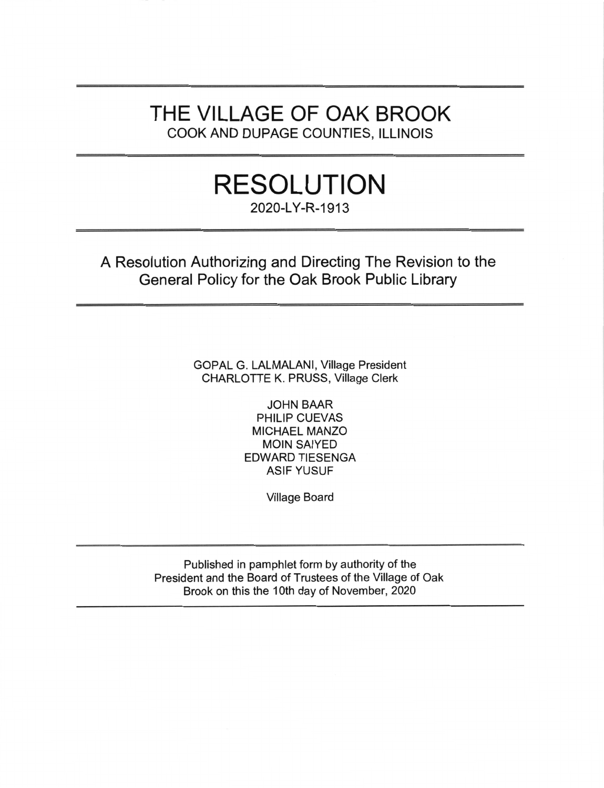# THE VILLAGE OF OAK BROOK COOK AND DUPAGE COUNTIES, ILLINOIS

# **RESOLUTION** 2020-LY-R-1913

A Resolution Authorizing and Directing The Revision to the General Policy for the Oak Brook Public Library

> GOPAL G. LALMALANI, Village President CHARLOTTE K. PRUSS, Village Clerk

> > **JOHN BAAR** PHILIP CUEVAS **MICHAEL MANZO MOIN SAIYED EDWARD TIESENGA ASIF YUSUF**

> > > **Village Board**

Published in pamphlet form by authority of the President and the Board of Trustees of the Village of Oak Brook on this the 10th day of November, 2020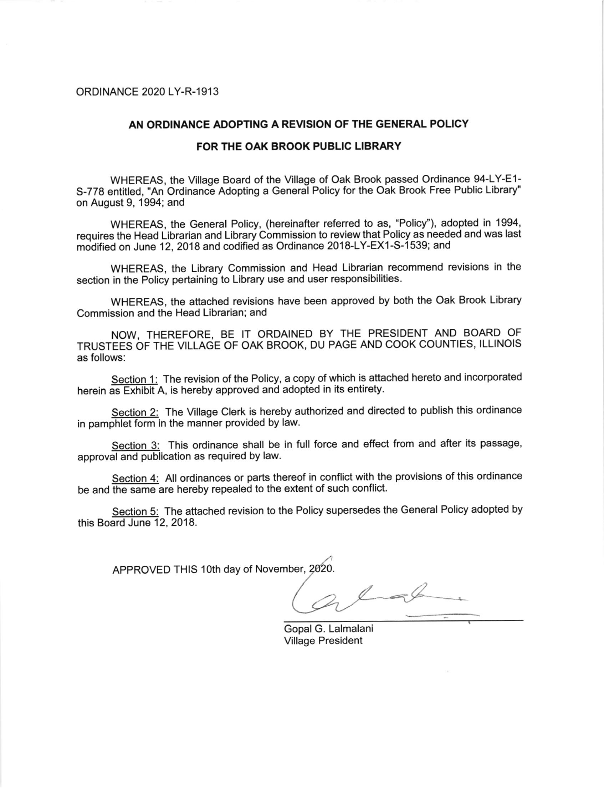#### ORDINANCE 2020 LY-R-1913

#### AN ORDINANCE ADOPTING A REVISION OF THE GENERAL POLICY

#### FOR THE OAK BROOK PUBLIC LIBRARY

WHEREAS, the Village Board of the Village of Oak Brook passed Ordinance 94-LY-E1- 5-778 entitled, "An Ordinance Adopting a General Policy for the Oak Brook Free Public Library" on August 9, 1994; and

WHEREAS, the General Policy, (hereinafter referred to as, "Policy"), adopted in 1994, requires the Head Librarian and Library Commission to review that Policy as needed and was last modified on June 12, 2018 and codified as Ordinance 2018-LY-EX1-S- 1539; and

WHEREAS, the Library Commission and Head Librarian recommend revisions in the section in the Policy pertaining to Library use and user responsibilities.

WHEREAS, the attached revisions have been approved by both the Oak Brook Library Commission and the Head Librarian; and

NOW, THEREFORE, BE IT ORDAINED BY THE PRESIDENT AND BOARD OF TRUSTEES OF THE VILLAGE OF OAK BROOK, DU PAGE AND COOK COUNTIES, ILLINOIS as follows:

Section 1: The revision of the Policy, a copy of which is attached hereto and incorporated herein as Exhibit A, is hereby approved and adopted in its entirety.

Section 2: The Village Clerk is hereby authorized and directed to publish this ordinance in pamphlet form in the manner provided by law.

Section 3: This ordinance shall be in full force and effect from and after its passage, approval and publication as required by law.

Section 4: All ordinances or parts thereof in conflict with the provisions of this ordinance be and the same are hereby repealed to the extent of such conflict.

Section 5: The attached revision to the Policy supersedes the General Policy adopted by this Board June 12, 2018.

APPROVED THIS 10th day of November, 2020.

 $L=4$ 

Gopal G. Lalmalani Village President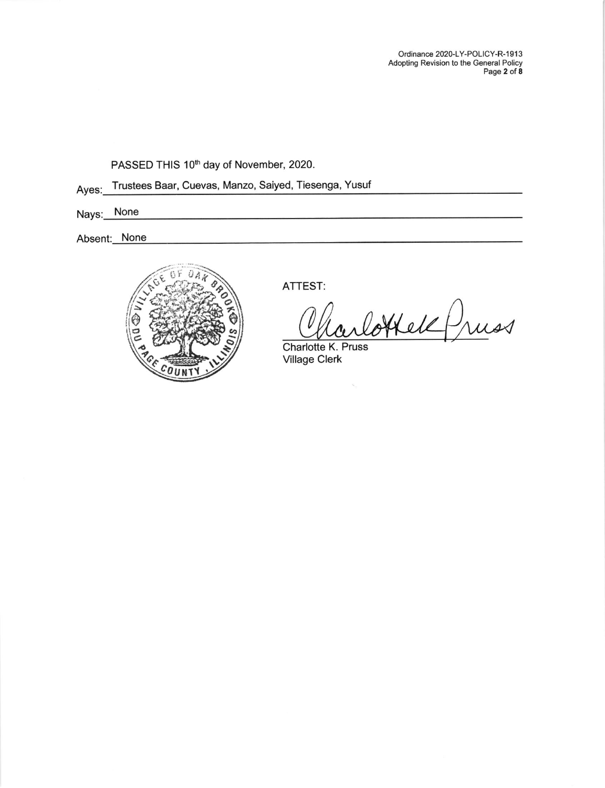Ordinance 2020-LY-POLICY-R-1913 Adopting Revision to the General Policy Page **2** of **8** 

PASSED THIS 10<sup>th</sup> day of November, 2020.

Ayes: Trustees Baar, Cuevas, Manzo, Saiyed, Tiesenga, Yusuf

Nays: None

Absent: None



ATTEST:

Coffeld Pruss

Charlotte K. Pruss<br>Village Clerk

 $\bar{\mathbf{x}}$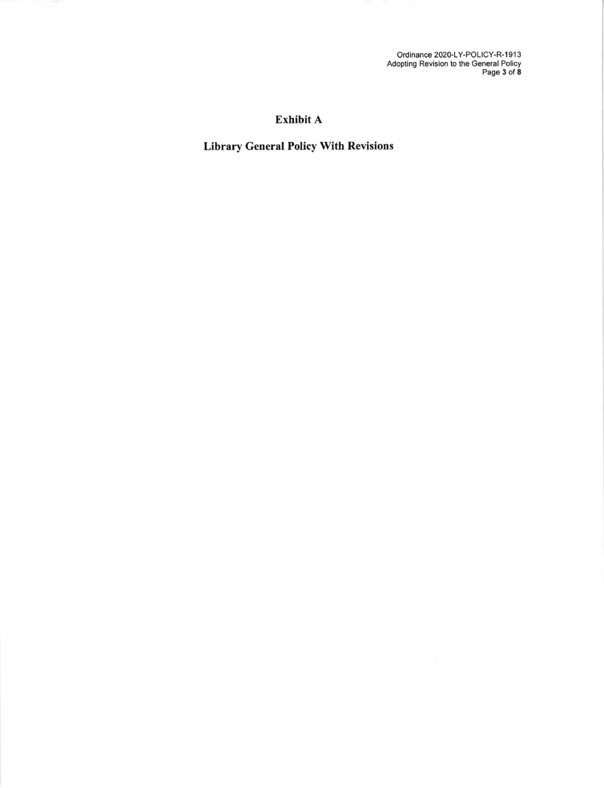Ordinance 2020-LY-POLICY-R-1913<br>Adopting Revision to the General Policy<br>Page 3 of 8

# Exhibit A

# **Library General Policy With Revisions**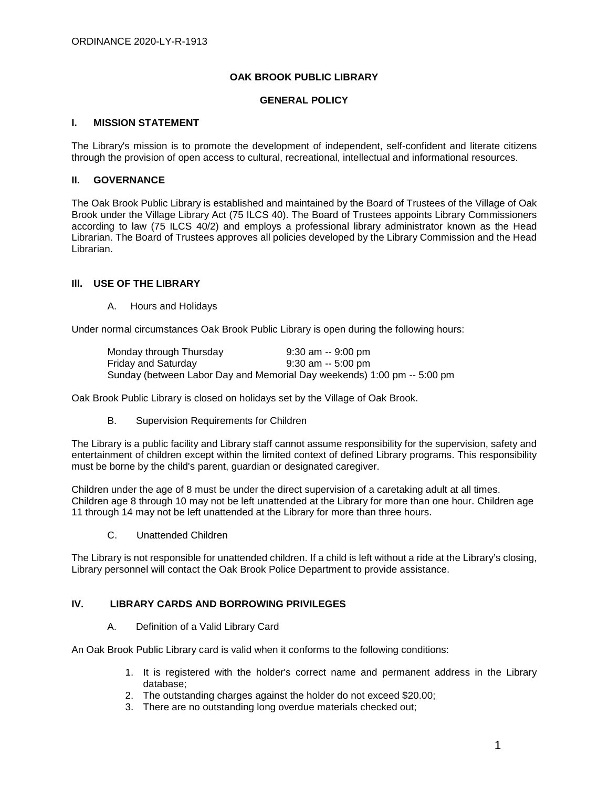#### **OAK BROOK PUBLIC LIBRARY**

#### **GENERAL POLICY**

#### **I. MISSION STATEMENT**

The Library's mission is to promote the development of independent, self-confident and literate citizens through the provision of open access to cultural, recreational, intellectual and informational resources.

#### **II. GOVERNANCE**

The Oak Brook Public Library is established and maintained by the Board of Trustees of the Village of Oak Brook under the Village Library Act (75 ILCS 40). The Board of Trustees appoints Library Commissioners according to law (75 ILCS 40/2) and employs a professional library administrator known as the Head Librarian. The Board of Trustees approves all policies developed by the Library Commission and the Head Librarian.

#### **Ill. USE OF THE LIBRARY**

A. Hours and Holidays

Under normal circumstances Oak Brook Public Library is open during the following hours:

Monday through Thursday 9:30 am -- 9:00 pm Friday and Saturday 9:30 am -- 5:00 pm Sunday (between Labor Day and Memorial Day weekends) 1:00 pm -- 5:00 pm

Oak Brook Public Library is closed on holidays set by the Village of Oak Brook.

B. Supervision Requirements for Children

The Library is a public facility and Library staff cannot assume responsibility for the supervision, safety and entertainment of children except within the limited context of defined Library programs. This responsibility must be borne by the child's parent, guardian or designated caregiver.

Children under the age of 8 must be under the direct supervision of a caretaking adult at all times. Children age 8 through 10 may not be left unattended at the Library for more than one hour. Children age 11 through 14 may not be left unattended at the Library for more than three hours.

C. Unattended Children

The Library is not responsible for unattended children. If a child is left without a ride at the Library's closing, Library personnel will contact the Oak Brook Police Department to provide assistance.

# **IV. LIBRARY CARDS AND BORROWING PRIVILEGES**

#### A. Definition of a Valid Library Card

An Oak Brook Public Library card is valid when it conforms to the following conditions:

- 1. It is registered with the holder's correct name and permanent address in the Library database;
- 2. The outstanding charges against the holder do not exceed \$20.00;
- 3. There are no outstanding long overdue materials checked out;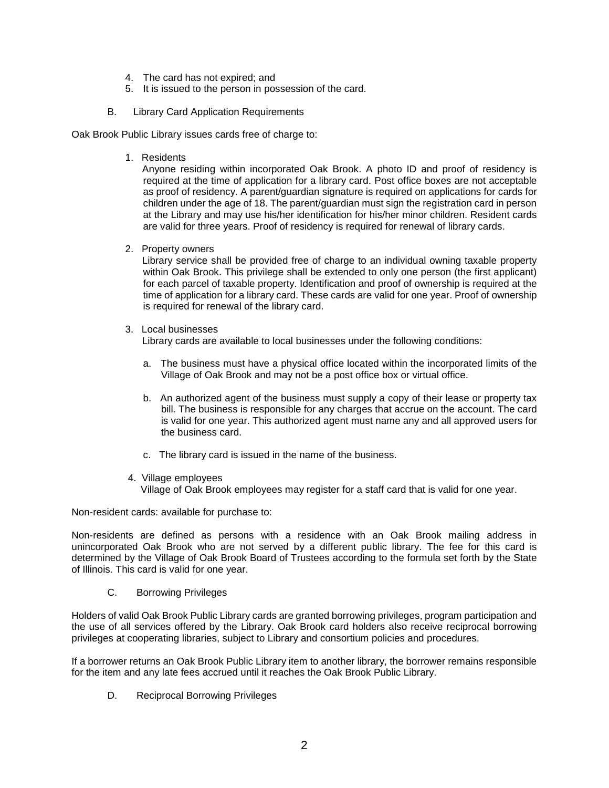- 4. The card has not expired; and
- 5. It is issued to the person in possession of the card.
- B. Library Card Application Requirements

Oak Brook Public Library issues cards free of charge to:

1. Residents

Anyone residing within incorporated Oak Brook. A photo ID and proof of residency is required at the time of application for a library card. Post office boxes are not acceptable as proof of residency. A parent/guardian signature is required on applications for cards for children under the age of 18. The parent/guardian must sign the registration card in person at the Library and may use his/her identification for his/her minor children. Resident cards are valid for three years. Proof of residency is required for renewal of library cards.

2. Property owners

Library service shall be provided free of charge to an individual owning taxable property within Oak Brook. This privilege shall be extended to only one person (the first applicant) for each parcel of taxable property. Identification and proof of ownership is required at the time of application for a library card. These cards are valid for one year. Proof of ownership is required for renewal of the library card.

3. Local businesses

Library cards are available to local businesses under the following conditions:

- a. The business must have a physical office located within the incorporated limits of the Village of Oak Brook and may not be a post office box or virtual office.
- b. An authorized agent of the business must supply a copy of their lease or property tax bill. The business is responsible for any charges that accrue on the account. The card is valid for one year. This authorized agent must name any and all approved users for the business card.
- c. The library card is issued in the name of the business.
- 4. Village employees Village of Oak Brook employees may register for a staff card that is valid for one year.

Non-resident cards: available for purchase to:

Non-residents are defined as persons with a residence with an Oak Brook mailing address in unincorporated Oak Brook who are not served by a different public library. The fee for this card is determined by the Village of Oak Brook Board of Trustees according to the formula set forth by the State of Illinois. This card is valid for one year.

C. Borrowing Privileges

Holders of valid Oak Brook Public Library cards are granted borrowing privileges, program participation and the use of all services offered by the Library. Oak Brook card holders also receive reciprocal borrowing privileges at cooperating libraries, subject to Library and consortium policies and procedures.

If a borrower returns an Oak Brook Public Library item to another library, the borrower remains responsible for the item and any late fees accrued until it reaches the Oak Brook Public Library.

D. Reciprocal Borrowing Privileges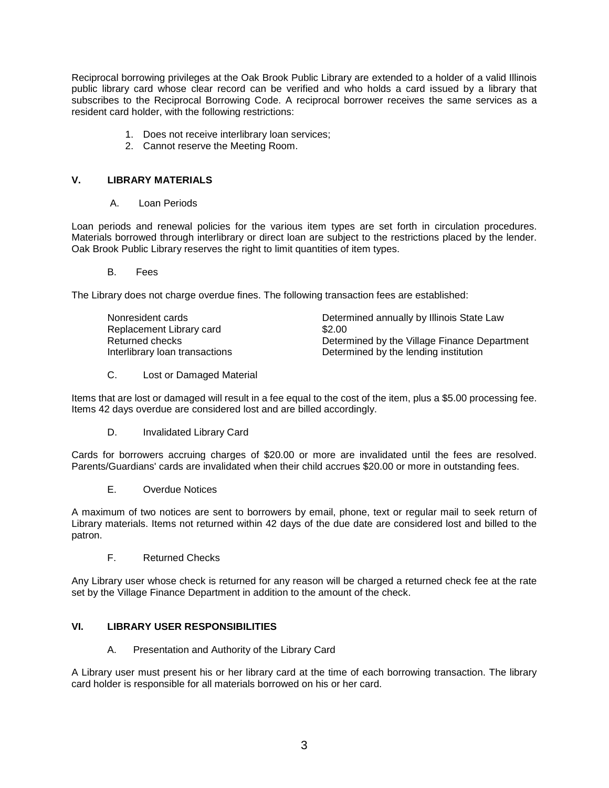Reciprocal borrowing privileges at the Oak Brook Public Library are extended to a holder of a valid Illinois public library card whose clear record can be verified and who holds a card issued by a library that subscribes to the Reciprocal Borrowing Code. A reciprocal borrower receives the same services as a resident card holder, with the following restrictions:

- 1. Does not receive interlibrary loan services;
- 2. Cannot reserve the Meeting Room.

### **V. LIBRARY MATERIALS**

A. Loan Periods

Loan periods and renewal policies for the various item types are set forth in circulation procedures. Materials borrowed through interlibrary or direct loan are subject to the restrictions placed by the lender. Oak Brook Public Library reserves the right to limit quantities of item types.

B. Fees

The Library does not charge overdue fines. The following transaction fees are established:

| Nonresident cards              | Determined annually by Illinois State Law    |
|--------------------------------|----------------------------------------------|
| Replacement Library card       | \$2.00                                       |
| Returned checks                | Determined by the Village Finance Department |
| Interlibrary loan transactions | Determined by the lending institution        |
|                                |                                              |

C. Lost or Damaged Material

Items that are lost or damaged will result in a fee equal to the cost of the item, plus a \$5.00 processing fee. Items 42 days overdue are considered lost and are billed accordingly.

D. Invalidated Library Card

Cards for borrowers accruing charges of \$20.00 or more are invalidated until the fees are resolved. Parents/Guardians' cards are invalidated when their child accrues \$20.00 or more in outstanding fees.

E. Overdue Notices

A maximum of two notices are sent to borrowers by email, phone, text or regular mail to seek return of Library materials. Items not returned within 42 days of the due date are considered lost and billed to the patron.

F. Returned Checks

Any Library user whose check is returned for any reason will be charged a returned check fee at the rate set by the Village Finance Department in addition to the amount of the check.

# **VI. LIBRARY USER RESPONSIBILITIES**

A. Presentation and Authority of the Library Card

A Library user must present his or her library card at the time of each borrowing transaction. The library card holder is responsible for all materials borrowed on his or her card.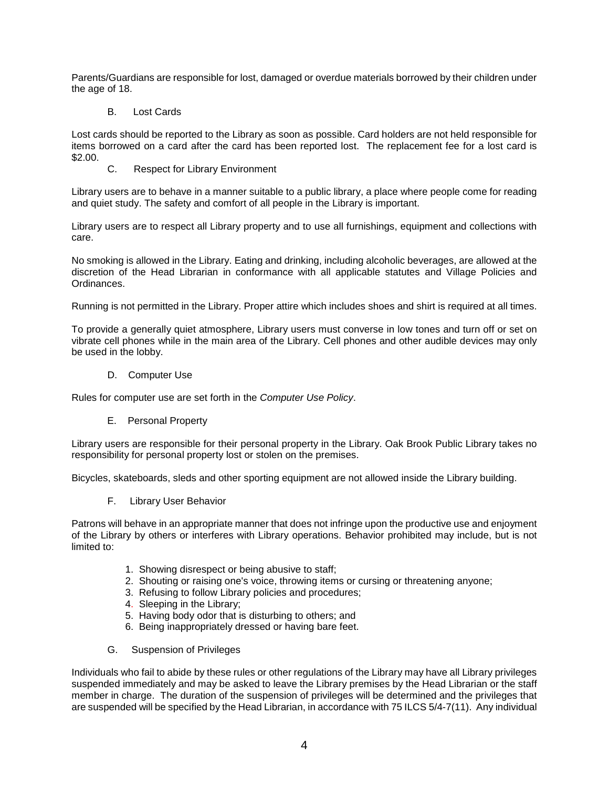Parents/Guardians are responsible for lost, damaged or overdue materials borrowed by their children under the age of 18.

B. Lost Cards

Lost cards should be reported to the Library as soon as possible. Card holders are not held responsible for items borrowed on a card after the card has been reported lost. The replacement fee for a lost card is \$2.00.

C. Respect for Library Environment

Library users are to behave in a manner suitable to a public library, a place where people come for reading and quiet study. The safety and comfort of all people in the Library is important.

Library users are to respect all Library property and to use all furnishings, equipment and collections with care.

No smoking is allowed in the Library. Eating and drinking, including alcoholic beverages, are allowed at the discretion of the Head Librarian in conformance with all applicable statutes and Village Policies and Ordinances.

Running is not permitted in the Library. Proper attire which includes shoes and shirt is required at all times.

To provide a generally quiet atmosphere, Library users must converse in low tones and turn off or set on vibrate cell phones while in the main area of the Library. Cell phones and other audible devices may only be used in the lobby.

D. Computer Use

Rules for computer use are set forth in the *Computer Use Policy*.

E. Personal Property

Library users are responsible for their personal property in the Library. Oak Brook Public Library takes no responsibility for personal property lost or stolen on the premises.

Bicycles, skateboards, sleds and other sporting equipment are not allowed inside the Library building.

F. Library User Behavior

Patrons will behave in an appropriate manner that does not infringe upon the productive use and enjoyment of the Library by others or interferes with Library operations. Behavior prohibited may include, but is not limited to:

- 1. Showing disrespect or being abusive to staff;
- 2. Shouting or raising one's voice, throwing items or cursing or threatening anyone;
- 3. Refusing to follow Library policies and procedures;
- 4. Sleeping in the Library;
- 5. Having body odor that is disturbing to others; and
- 6. Being inappropriately dressed or having bare feet.
- G. Suspension of Privileges

Individuals who fail to abide by these rules or other regulations of the Library may have all Library privileges suspended immediately and may be asked to leave the Library premises by the Head Librarian or the staff member in charge. The duration of the suspension of privileges will be determined and the privileges that are suspended will be specified by the Head Librarian, in accordance with 75 ILCS 5/4-7(11). Any individual